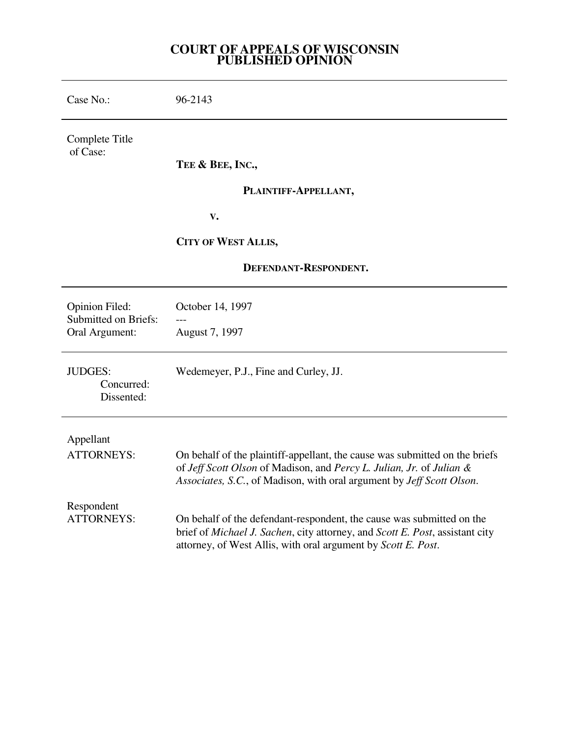## **COURT OF APPEALS OF WISCONSIN PUBLISHED OPINION**

| Case No.:                                                              | 96-2143                                                                                                                                                                                                                      |
|------------------------------------------------------------------------|------------------------------------------------------------------------------------------------------------------------------------------------------------------------------------------------------------------------------|
| Complete Title<br>of Case:                                             |                                                                                                                                                                                                                              |
|                                                                        | TEE & BEE, INC.,                                                                                                                                                                                                             |
|                                                                        | PLAINTIFF-APPELLANT,                                                                                                                                                                                                         |
|                                                                        | V.                                                                                                                                                                                                                           |
|                                                                        | <b>CITY OF WEST ALLIS,</b>                                                                                                                                                                                                   |
| DEFENDANT-RESPONDENT.                                                  |                                                                                                                                                                                                                              |
| <b>Opinion Filed:</b><br><b>Submitted on Briefs:</b><br>Oral Argument: | October 14, 1997                                                                                                                                                                                                             |
|                                                                        | August 7, 1997                                                                                                                                                                                                               |
| <b>JUDGES:</b><br>Concurred:<br>Dissented:                             | Wedemeyer, P.J., Fine and Curley, JJ.                                                                                                                                                                                        |
| Appellant                                                              |                                                                                                                                                                                                                              |
| <b>ATTORNEYS:</b>                                                      | On behalf of the plaintiff-appellant, the cause was submitted on the briefs<br>of Jeff Scott Olson of Madison, and Percy L. Julian, Jr. of Julian &<br>Associates, S.C., of Madison, with oral argument by Jeff Scott Olson. |
| Respondent<br><b>ATTORNEYS:</b>                                        | On behalf of the defendant-respondent, the cause was submitted on the<br>brief of Michael J. Sachen, city attorney, and Scott E. Post, assistant city<br>attorney, of West Allis, with oral argument by Scott E. Post.       |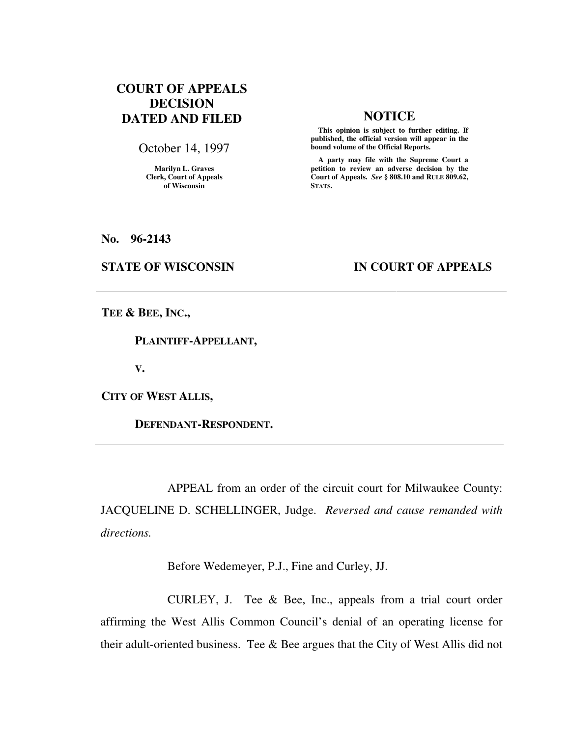# **COURT OF APPEALS DECISION DATED AND FILED NOTICE**

October 14, 1997

**Marilyn L. Graves Clerk, Court of Appeals of Wisconsin** 

 **This opinion is subject to further editing. If published, the official version will appear in the bound volume of the Official Reports.**

 **A party may file with the Supreme Court a petition to review an adverse decision by the Court of Appeals.** *See* **§ 808.10 and RULE 809.62, STATS.** 

**No. 96-2143** 

## **STATE OF WISCONSIN IN COURT OF APPEALS**

**TEE & BEE, INC.,** 

 **PLAINTIFF-APPELLANT,** 

**V.** 

**CITY OF WEST ALLIS,** 

 **DEFENDANT-RESPONDENT.** 

 APPEAL from an order of the circuit court for Milwaukee County: JACQUELINE D. SCHELLINGER, Judge. *Reversed and cause remanded with directions.*

Before Wedemeyer, P.J., Fine and Curley, JJ.

 CURLEY, J. Tee & Bee, Inc., appeals from a trial court order affirming the West Allis Common Council's denial of an operating license for their adult-oriented business. Tee & Bee argues that the City of West Allis did not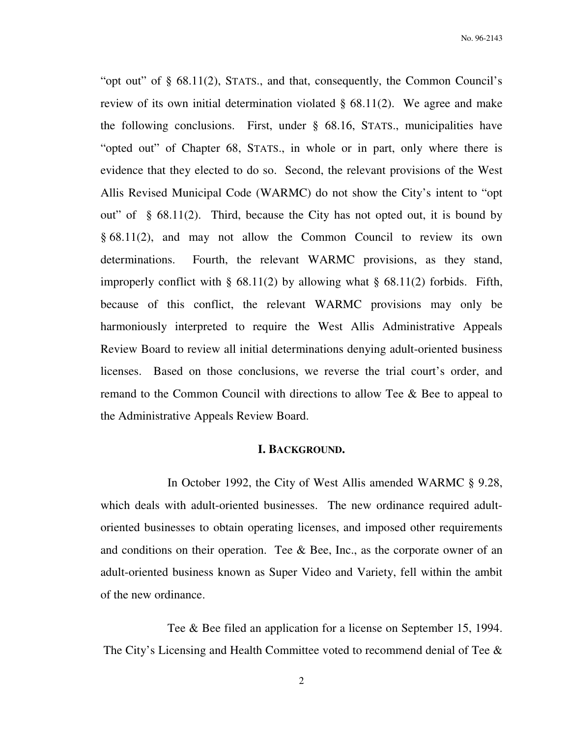"opt out" of § 68.11(2), STATS., and that, consequently, the Common Council's review of its own initial determination violated  $\S$  68.11(2). We agree and make the following conclusions. First, under § 68.16, STATS., municipalities have "opted out" of Chapter 68, STATS., in whole or in part, only where there is evidence that they elected to do so. Second, the relevant provisions of the West Allis Revised Municipal Code (WARMC) do not show the City's intent to "opt out" of  $\S$  68.11(2). Third, because the City has not opted out, it is bound by § 68.11(2), and may not allow the Common Council to review its own determinations. Fourth, the relevant WARMC provisions, as they stand, improperly conflict with § 68.11(2) by allowing what § 68.11(2) forbids. Fifth, because of this conflict, the relevant WARMC provisions may only be harmoniously interpreted to require the West Allis Administrative Appeals Review Board to review all initial determinations denying adult-oriented business licenses. Based on those conclusions, we reverse the trial court's order, and remand to the Common Council with directions to allow Tee & Bee to appeal to the Administrative Appeals Review Board.

### **I. BACKGROUND.**

 In October 1992, the City of West Allis amended WARMC § 9.28, which deals with adult-oriented businesses. The new ordinance required adultoriented businesses to obtain operating licenses, and imposed other requirements and conditions on their operation. Tee  $\&$  Bee, Inc., as the corporate owner of an adult-oriented business known as Super Video and Variety, fell within the ambit of the new ordinance.

 Tee & Bee filed an application for a license on September 15, 1994. The City's Licensing and Health Committee voted to recommend denial of Tee &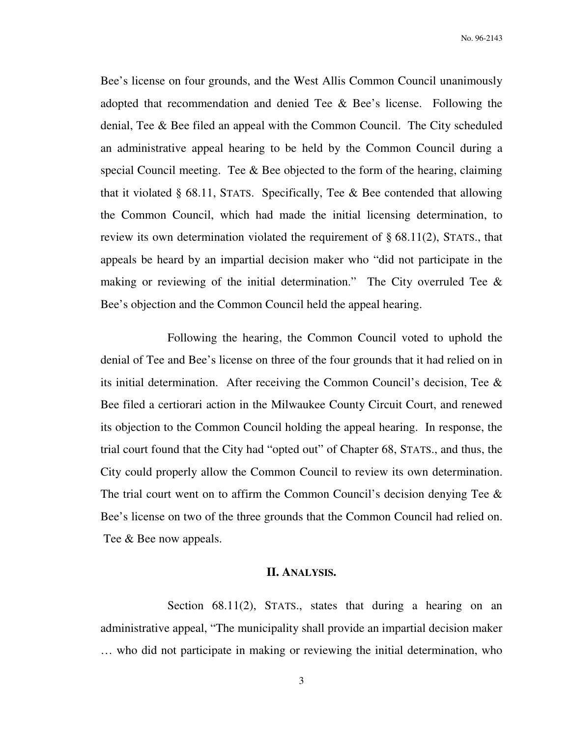Bee's license on four grounds, and the West Allis Common Council unanimously adopted that recommendation and denied Tee & Bee's license. Following the denial, Tee & Bee filed an appeal with the Common Council. The City scheduled an administrative appeal hearing to be held by the Common Council during a special Council meeting. Tee & Bee objected to the form of the hearing, claiming that it violated  $\S$  68.11, STATS. Specifically, Tee  $\&$  Bee contended that allowing the Common Council, which had made the initial licensing determination, to review its own determination violated the requirement of  $\S$  68.11(2), STATS., that appeals be heard by an impartial decision maker who "did not participate in the making or reviewing of the initial determination." The City overruled Tee  $\&$ Bee's objection and the Common Council held the appeal hearing.

 Following the hearing, the Common Council voted to uphold the denial of Tee and Bee's license on three of the four grounds that it had relied on in its initial determination. After receiving the Common Council's decision, Tee & Bee filed a certiorari action in the Milwaukee County Circuit Court, and renewed its objection to the Common Council holding the appeal hearing. In response, the trial court found that the City had "opted out" of Chapter 68, STATS., and thus, the City could properly allow the Common Council to review its own determination. The trial court went on to affirm the Common Council's decision denying Tee & Bee's license on two of the three grounds that the Common Council had relied on. Tee & Bee now appeals.

### **II. ANALYSIS.**

Section 68.11(2), STATS., states that during a hearing on an administrative appeal, "The municipality shall provide an impartial decision maker … who did not participate in making or reviewing the initial determination, who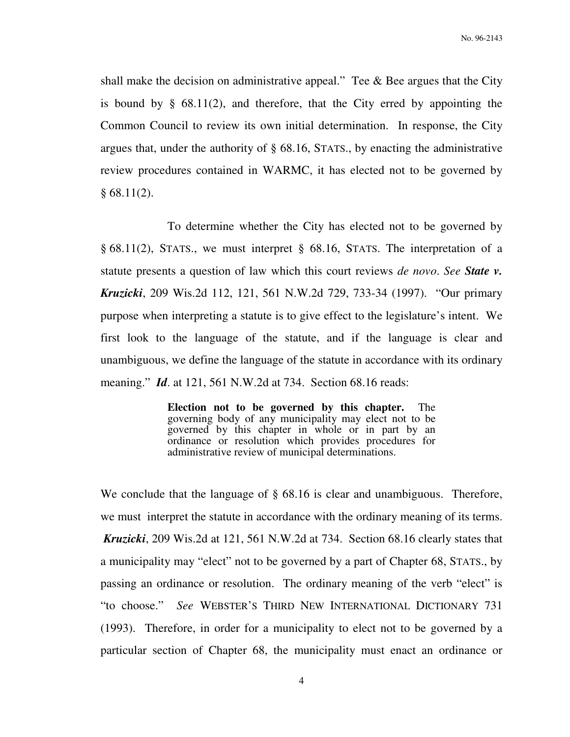shall make the decision on administrative appeal." Tee  $\&$  Bee argues that the City is bound by § 68.11(2), and therefore, that the City erred by appointing the Common Council to review its own initial determination. In response, the City argues that, under the authority of § 68.16, STATS., by enacting the administrative review procedures contained in WARMC, it has elected not to be governed by  $§ 68.11(2).$ 

 To determine whether the City has elected not to be governed by § 68.11(2), STATS., we must interpret § 68.16, STATS. The interpretation of a statute presents a question of law which this court reviews *de novo*. *See State v. Kruzicki*, 209 Wis.2d 112, 121, 561 N.W.2d 729, 733-34 (1997). "Our primary purpose when interpreting a statute is to give effect to the legislature's intent. We first look to the language of the statute, and if the language is clear and unambiguous, we define the language of the statute in accordance with its ordinary meaning." *Id*. at 121, 561 N.W.2d at 734. Section 68.16 reads:

> **Election not to be governed by this chapter.** The governing body of any municipality may elect not to be governed by this chapter in whole or in part by an ordinance or resolution which provides procedures for administrative review of municipal determinations.

We conclude that the language of  $\S$  68.16 is clear and unambiguous. Therefore, we must interpret the statute in accordance with the ordinary meaning of its terms. *Kruzicki*, 209 Wis.2d at 121, 561 N.W.2d at 734. Section 68.16 clearly states that a municipality may "elect" not to be governed by a part of Chapter 68, STATS., by passing an ordinance or resolution. The ordinary meaning of the verb "elect" is "to choose." *See* WEBSTER'S THIRD NEW INTERNATIONAL DICTIONARY 731 (1993). Therefore, in order for a municipality to elect not to be governed by a particular section of Chapter 68, the municipality must enact an ordinance or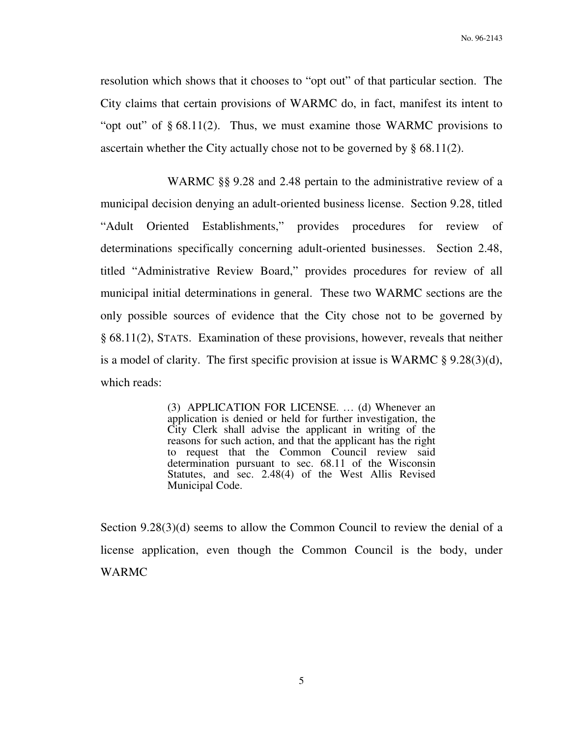resolution which shows that it chooses to "opt out" of that particular section. The City claims that certain provisions of WARMC do, in fact, manifest its intent to "opt out" of § 68.11(2). Thus, we must examine those WARMC provisions to ascertain whether the City actually chose not to be governed by § 68.11(2).

 WARMC §§ 9.28 and 2.48 pertain to the administrative review of a municipal decision denying an adult-oriented business license. Section 9.28, titled "Adult Oriented Establishments," provides procedures for review of determinations specifically concerning adult-oriented businesses. Section 2.48, titled "Administrative Review Board," provides procedures for review of all municipal initial determinations in general. These two WARMC sections are the only possible sources of evidence that the City chose not to be governed by § 68.11(2), STATS. Examination of these provisions, however, reveals that neither is a model of clarity. The first specific provision at issue is WARMC § 9.28(3)(d), which reads:

> (3)APPLICATION FOR LICENSE. … (d) Whenever an application is denied or held for further investigation, the City Clerk shall advise the applicant in writing of the reasons for such action, and that the applicant has the right to request that the Common Council review said determination pursuant to sec. 68.11 of the Wisconsin Statutes, and sec. 2.48(4) of the West Allis Revised Municipal Code.

Section 9.28(3)(d) seems to allow the Common Council to review the denial of a license application, even though the Common Council is the body, under WARMC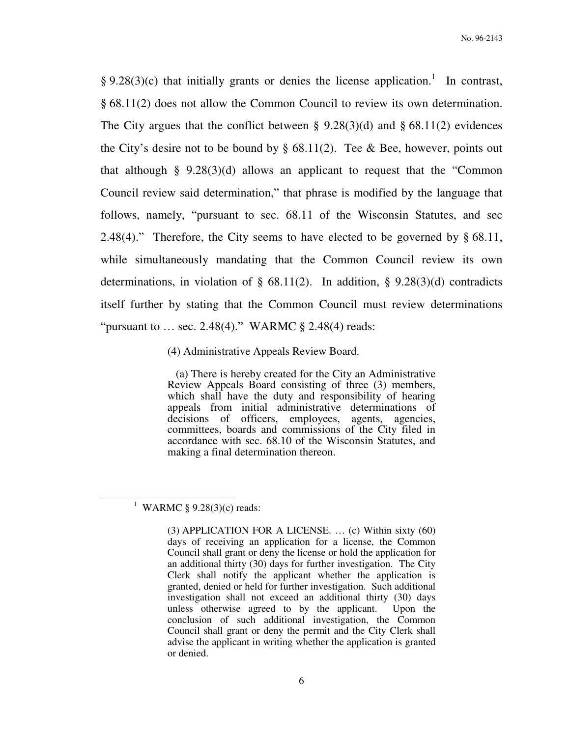§ 9.28(3)(c) that initially grants or denies the license application.<sup>1</sup> In contrast, § 68.11(2) does not allow the Common Council to review its own determination. The City argues that the conflict between § 9.28(3)(d) and § 68.11(2) evidences the City's desire not to be bound by  $\S$  68.11(2). Tee & Bee, however, points out that although § 9.28(3)(d) allows an applicant to request that the "Common Council review said determination," that phrase is modified by the language that follows, namely, "pursuant to sec. 68.11 of the Wisconsin Statutes, and sec 2.48(4)." Therefore, the City seems to have elected to be governed by  $\S$  68.11, while simultaneously mandating that the Common Council review its own determinations, in violation of  $\S$  68.11(2). In addition,  $\S$  9.28(3)(d) contradicts itself further by stating that the Common Council must review determinations "pursuant to ... sec. 2.48(4)." WARMC  $\S$  2.48(4) reads:

(4) Administrative Appeals Review Board.

 (a) There is hereby created for the City an Administrative Review Appeals Board consisting of three (3) members, which shall have the duty and responsibility of hearing appeals from initial administrative determinations of decisions of officers, employees, agents, agencies, committees, boards and commissions of the City filed in accordance with sec. 68.10 of the Wisconsin Statutes, and making a final determination thereon.

 $\overline{a}$ 

<sup>&</sup>lt;sup>1</sup> WARMC § 9.28(3)(c) reads:

<sup>(3)</sup> APPLICATION FOR A LICENSE. … (c) Within sixty (60) days of receiving an application for a license, the Common Council shall grant or deny the license or hold the application for an additional thirty (30) days for further investigation. The City Clerk shall notify the applicant whether the application is granted, denied or held for further investigation. Such additional investigation shall not exceed an additional thirty (30) days unless otherwise agreed to by the applicant. Upon the conclusion of such additional investigation, the Common Council shall grant or deny the permit and the City Clerk shall advise the applicant in writing whether the application is granted or denied.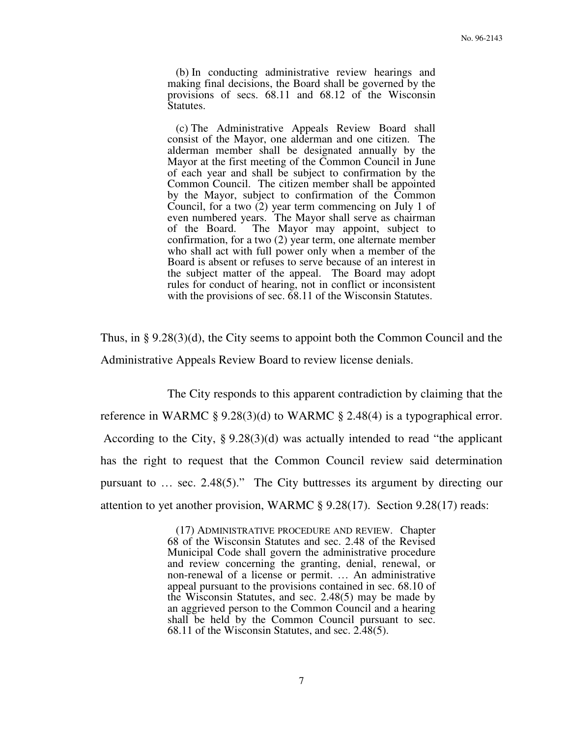(b) In conducting administrative review hearings and making final decisions, the Board shall be governed by the provisions of secs. 68.11 and 68.12 of the Wisconsin Statutes.

 (c) The Administrative Appeals Review Board shall consist of the Mayor, one alderman and one citizen. The alderman member shall be designated annually by the Mayor at the first meeting of the Common Council in June of each year and shall be subject to confirmation by the Common Council. The citizen member shall be appointed by the Mayor, subject to confirmation of the Common Council, for a two (2) year term commencing on July 1 of even numbered years. The Mayor shall serve as chairman of the Board. The Mayor may appoint, subject to confirmation, for a two (2) year term, one alternate member who shall act with full power only when a member of the Board is absent or refuses to serve because of an interest in the subject matter of the appeal. The Board may adopt rules for conduct of hearing, not in conflict or inconsistent with the provisions of sec. 68.11 of the Wisconsin Statutes.

Thus, in § 9.28(3)(d), the City seems to appoint both the Common Council and the Administrative Appeals Review Board to review license denials.

 The City responds to this apparent contradiction by claiming that the reference in WARMC § 9.28(3)(d) to WARMC § 2.48(4) is a typographical error. According to the City, § 9.28(3)(d) was actually intended to read "the applicant has the right to request that the Common Council review said determination pursuant to … sec. 2.48(5)." The City buttresses its argument by directing our attention to yet another provision, WARMC § 9.28(17). Section 9.28(17) reads:

> (17) ADMINISTRATIVE PROCEDURE AND REVIEW. Chapter 68 of the Wisconsin Statutes and sec. 2.48 of the Revised Municipal Code shall govern the administrative procedure and review concerning the granting, denial, renewal, or non-renewal of a license or permit. … An administrative appeal pursuant to the provisions contained in sec. 68.10 of the Wisconsin Statutes, and sec. 2.48(5) may be made by an aggrieved person to the Common Council and a hearing shall be held by the Common Council pursuant to sec. 68.11 of the Wisconsin Statutes, and sec. 2.48(5).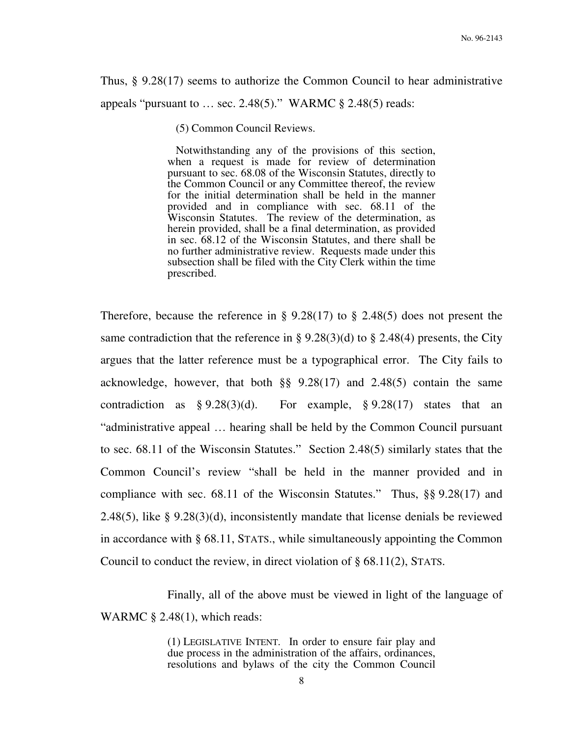Thus, § 9.28(17) seems to authorize the Common Council to hear administrative appeals "pursuant to … sec. 2.48(5)." WARMC § 2.48(5) reads:

(5) Common Council Reviews.

 Notwithstanding any of the provisions of this section, when a request is made for review of determination pursuant to sec. 68.08 of the Wisconsin Statutes, directly to the Common Council or any Committee thereof, the review for the initial determination shall be held in the manner provided and in compliance with sec. 68.11 of the Wisconsin Statutes. The review of the determination, as herein provided, shall be a final determination, as provided in sec. 68.12 of the Wisconsin Statutes, and there shall be no further administrative review. Requests made under this subsection shall be filed with the City Clerk within the time prescribed.

Therefore, because the reference in  $\S 9.28(17)$  to  $\S 2.48(5)$  does not present the same contradiction that the reference in § 9.28(3)(d) to § 2.48(4) presents, the City argues that the latter reference must be a typographical error. The City fails to acknowledge, however, that both §§ 9.28(17) and 2.48(5) contain the same contradiction as  $\S 9.28(3)(d)$ . For example,  $\S 9.28(17)$  states that an "administrative appeal … hearing shall be held by the Common Council pursuant to sec. 68.11 of the Wisconsin Statutes." Section 2.48(5) similarly states that the Common Council's review "shall be held in the manner provided and in compliance with sec. 68.11 of the Wisconsin Statutes." Thus, §§ 9.28(17) and 2.48(5), like § 9.28(3)(d), inconsistently mandate that license denials be reviewed in accordance with § 68.11, STATS., while simultaneously appointing the Common Council to conduct the review, in direct violation of § 68.11(2), STATS.

 Finally, all of the above must be viewed in light of the language of WARMC § 2.48(1), which reads:

> (1) LEGISLATIVE INTENT. In order to ensure fair play and due process in the administration of the affairs, ordinances, resolutions and bylaws of the city the Common Council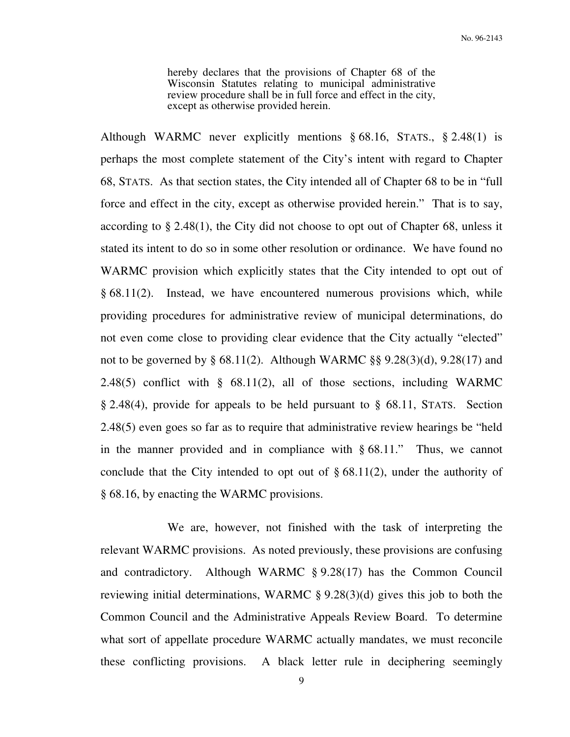hereby declares that the provisions of Chapter 68 of the Wisconsin Statutes relating to municipal administrative review procedure shall be in full force and effect in the city, except as otherwise provided herein.

Although WARMC never explicitly mentions § 68.16, STATS., § 2.48(1) is perhaps the most complete statement of the City's intent with regard to Chapter 68, STATS. As that section states, the City intended all of Chapter 68 to be in "full force and effect in the city, except as otherwise provided herein." That is to say, according to § 2.48(1), the City did not choose to opt out of Chapter 68, unless it stated its intent to do so in some other resolution or ordinance. We have found no WARMC provision which explicitly states that the City intended to opt out of § 68.11(2). Instead, we have encountered numerous provisions which, while providing procedures for administrative review of municipal determinations, do not even come close to providing clear evidence that the City actually "elected" not to be governed by § 68.11(2). Although WARMC §§ 9.28(3)(d), 9.28(17) and 2.48(5) conflict with § 68.11(2), all of those sections, including WARMC § 2.48(4), provide for appeals to be held pursuant to § 68.11, STATS. Section 2.48(5) even goes so far as to require that administrative review hearings be "held in the manner provided and in compliance with § 68.11." Thus, we cannot conclude that the City intended to opt out of  $\S 68.11(2)$ , under the authority of § 68.16, by enacting the WARMC provisions.

 We are, however, not finished with the task of interpreting the relevant WARMC provisions. As noted previously, these provisions are confusing and contradictory. Although WARMC § 9.28(17) has the Common Council reviewing initial determinations, WARMC § 9.28(3)(d) gives this job to both the Common Council and the Administrative Appeals Review Board. To determine what sort of appellate procedure WARMC actually mandates, we must reconcile these conflicting provisions. A black letter rule in deciphering seemingly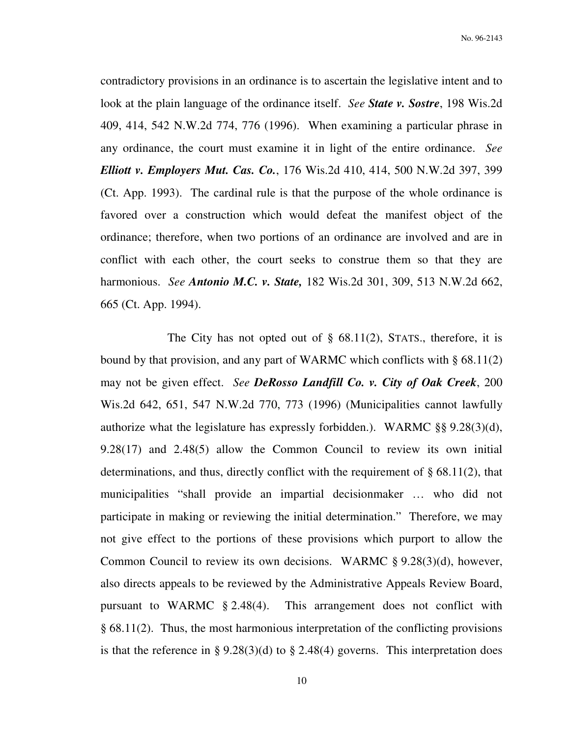contradictory provisions in an ordinance is to ascertain the legislative intent and to look at the plain language of the ordinance itself. *See State v. Sostre*, 198 Wis.2d 409, 414, 542 N.W.2d 774, 776 (1996). When examining a particular phrase in any ordinance, the court must examine it in light of the entire ordinance. *See Elliott v. Employers Mut. Cas. Co.*, 176 Wis.2d 410, 414, 500 N.W.2d 397, 399 (Ct. App. 1993). The cardinal rule is that the purpose of the whole ordinance is favored over a construction which would defeat the manifest object of the ordinance; therefore, when two portions of an ordinance are involved and are in conflict with each other, the court seeks to construe them so that they are harmonious. *See Antonio M.C. v. State,* 182 Wis.2d 301, 309, 513 N.W.2d 662, 665 (Ct. App. 1994).

The City has not opted out of  $\S$  68.11(2), STATS., therefore, it is bound by that provision, and any part of WARMC which conflicts with § 68.11(2) may not be given effect. *See DeRosso Landfill Co. v. City of Oak Creek*, 200 Wis.2d 642, 651, 547 N.W.2d 770, 773 (1996) (Municipalities cannot lawfully authorize what the legislature has expressly forbidden.). WARMC §§ 9.28(3)(d), 9.28(17) and 2.48(5) allow the Common Council to review its own initial determinations, and thus, directly conflict with the requirement of § 68.11(2), that municipalities "shall provide an impartial decisionmaker … who did not participate in making or reviewing the initial determination." Therefore, we may not give effect to the portions of these provisions which purport to allow the Common Council to review its own decisions. WARMC § 9.28(3)(d), however, also directs appeals to be reviewed by the Administrative Appeals Review Board, pursuant to WARMC § 2.48(4). This arrangement does not conflict with § 68.11(2). Thus, the most harmonious interpretation of the conflicting provisions is that the reference in § 9.28(3)(d) to § 2.48(4) governs. This interpretation does